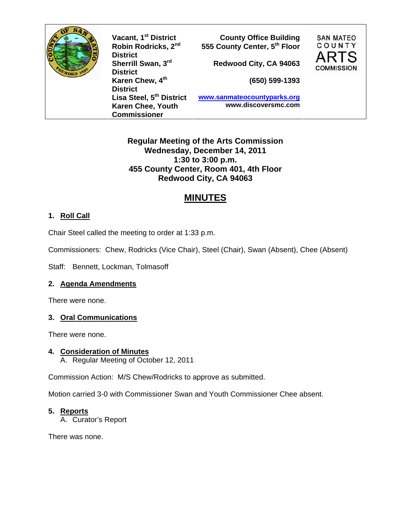

**Robin Rodricks, 2nd District Sherrill Swan, 3rd District Karen Chew, 4th District Lisa Steel, 5th District Karen Chee, Youth Commissioner** 

**Vacant, 1st District County Office Building 555 County Center, 5th Floor** 

**Redwood City, CA 94063** 

**(650) 599-1393**

**SAN MATEO** COUNTY

**COMMISSION** 

**www.sanmateocountyparks.org www.discoversmc.com** 

## **Regular Meeting of the Arts Commission Wednesday, December 14, 2011 1:30 to 3:00 p.m. 455 County Center, Room 401, 4th Floor Redwood City, CA 94063**

# **MINUTES**

# **1. Roll Call**

Chair Steel called the meeting to order at 1:33 p.m.

Commissioners: Chew, Rodricks (Vice Chair), Steel (Chair), Swan (Absent), Chee (Absent)

Staff: Bennett, Lockman, Tolmasoff

## **2. Agenda Amendments**

There were none.

### **3. Oral Communications**

There were none.

### **4. Consideration of Minutes**

A. Regular Meeting of October 12, 2011

Commission Action: M/S Chew/Rodricks to approve as submitted.

Motion carried 3-0 with Commissioner Swan and Youth Commissioner Chee absent.

### **5. Reports**

A. Curator's Report

There was none.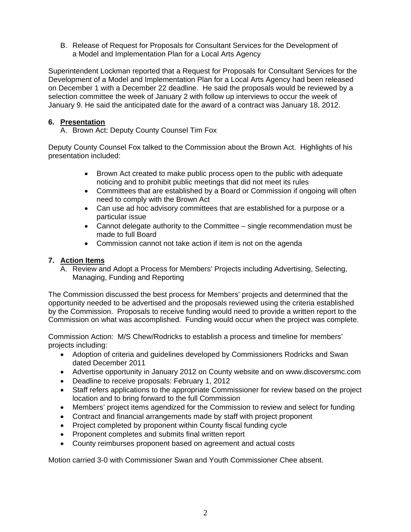B. Release of Request for Proposals for Consultant Services for the Development of a Model and Implementation Plan for a Local Arts Agency

Superintendent Lockman reported that a Request for Proposals for Consultant Services for the Development of a Model and Implementation Plan for a Local Arts Agency had been released on December 1 with a December 22 deadline. He said the proposals would be reviewed by a selection committee the week of January 2 with follow up interviews to occur the week of January 9. He said the anticipated date for the award of a contract was January 18, 2012.

#### **6. Presentation**

A. Brown Act: Deputy County Counsel Tim Fox

Deputy County Counsel Fox talked to the Commission about the Brown Act. Highlights of his presentation included:

- Brown Act created to make public process open to the public with adequate noticing and to prohibit public meetings that did not meet its rules
- Committees that are established by a Board or Commission if ongoing will often need to comply with the Brown Act
- Can use ad hoc advisory committees that are established for a purpose or a particular issue
- Cannot delegate authority to the Committee single recommendation must be made to full Board
- Commission cannot not take action if item is not on the agenda

#### **7. Action Items**

A. Review and Adopt a Process for Members' Projects including Advertising, Selecting, Managing, Funding and Reporting

The Commission discussed the best process for Members' projects and determined that the opportunity needed to be advertised and the proposals reviewed using the criteria established by the Commission. Proposals to receive funding would need to provide a written report to the Commission on what was accomplished. Funding would occur when the project was complete.

Commission Action: M/S Chew/Rodricks to establish a process and timeline for members' projects including:

- Adoption of criteria and guidelines developed by Commissioners Rodricks and Swan dated December 2011
- Advertise opportunity in January 2012 on County website and on www.discoversmc.com
- Deadline to receive proposals: February 1, 2012
- Staff refers applications to the appropriate Commissioner for review based on the project location and to bring forward to the full Commission
- Members' project items agendized for the Commission to review and select for funding
- Contract and financial arrangements made by staff with project proponent
- Project completed by proponent within County fiscal funding cycle
- Proponent completes and submits final written report
- County reimburses proponent based on agreement and actual costs

Motion carried 3-0 with Commissioner Swan and Youth Commissioner Chee absent.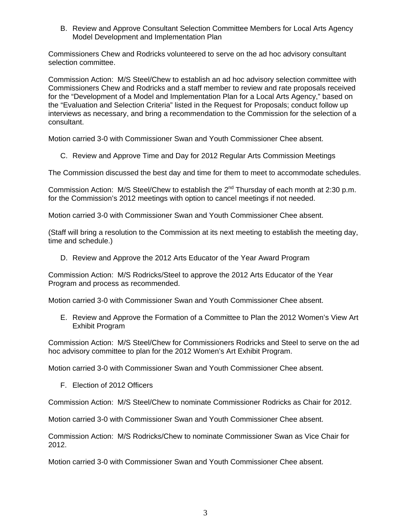B. Review and Approve Consultant Selection Committee Members for Local Arts Agency Model Development and Implementation Plan

Commissioners Chew and Rodricks volunteered to serve on the ad hoc advisory consultant selection committee.

Commission Action: M/S Steel/Chew to establish an ad hoc advisory selection committee with Commissioners Chew and Rodricks and a staff member to review and rate proposals received for the "Development of a Model and Implementation Plan for a Local Arts Agency," based on the "Evaluation and Selection Criteria" listed in the Request for Proposals; conduct follow up interviews as necessary, and bring a recommendation to the Commission for the selection of a consultant.

Motion carried 3-0 with Commissioner Swan and Youth Commissioner Chee absent.

C. Review and Approve Time and Day for 2012 Regular Arts Commission Meetings

The Commission discussed the best day and time for them to meet to accommodate schedules.

Commission Action: M/S Steel/Chew to establish the  $2^{nd}$  Thursday of each month at 2:30 p.m. for the Commission's 2012 meetings with option to cancel meetings if not needed.

Motion carried 3-0 with Commissioner Swan and Youth Commissioner Chee absent.

(Staff will bring a resolution to the Commission at its next meeting to establish the meeting day, time and schedule.)

D. Review and Approve the 2012 Arts Educator of the Year Award Program

Commission Action: M/S Rodricks/Steel to approve the 2012 Arts Educator of the Year Program and process as recommended.

Motion carried 3-0 with Commissioner Swan and Youth Commissioner Chee absent.

E. Review and Approve the Formation of a Committee to Plan the 2012 Women's View Art Exhibit Program

Commission Action: M/S Steel/Chew for Commissioners Rodricks and Steel to serve on the ad hoc advisory committee to plan for the 2012 Women's Art Exhibit Program.

Motion carried 3-0 with Commissioner Swan and Youth Commissioner Chee absent.

F. Election of 2012 Officers

Commission Action: M/S Steel/Chew to nominate Commissioner Rodricks as Chair for 2012.

Motion carried 3-0 with Commissioner Swan and Youth Commissioner Chee absent.

Commission Action: M/S Rodricks/Chew to nominate Commissioner Swan as Vice Chair for 2012.

Motion carried 3-0 with Commissioner Swan and Youth Commissioner Chee absent.